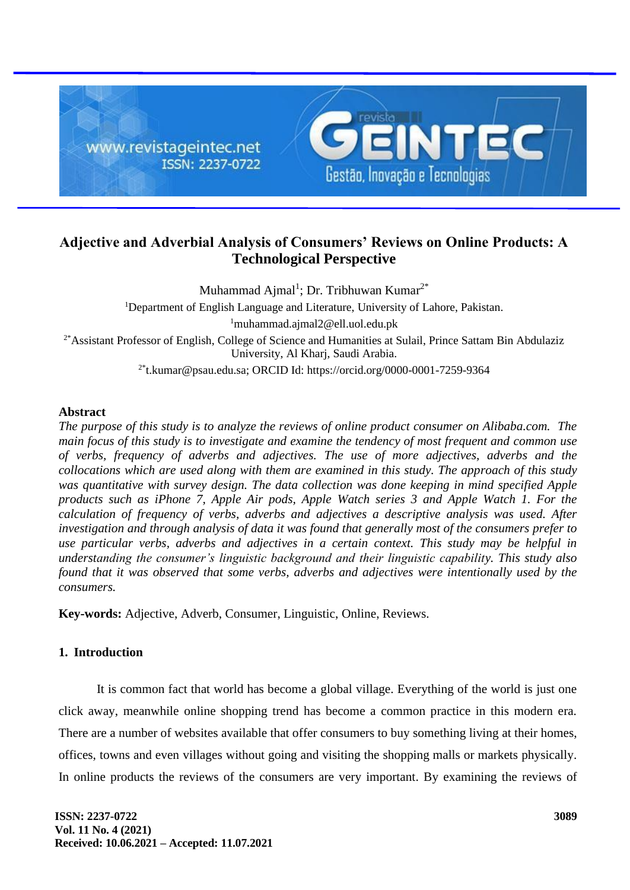

# **Adjective and Adverbial Analysis of Consumers' Reviews on Online Products: A Technological Perspective**

Muhammad Ajmal<sup>1</sup>; Dr. Tribhuwan Kumar<sup>2\*</sup> <sup>1</sup>Department of English Language and Literature, University of Lahore, Pakistan. <sup>1</sup>muhammad.ajmal2@ell.uol.edu.pk <sup>2\*</sup>Assistant Professor of English, College of Science and Humanities at Sulail, Prince Sattam Bin Abdulaziz University, Al Kharj, Saudi Arabia.  $2*$ t.kumar@psau.edu.sa; ORCID Id: https://orcid.org/0000-0001-7259-9364

# **Abstract**

*The purpose of this study is to analyze the reviews of online product consumer on Alibaba.com. The main focus of this study is to investigate and examine the tendency of most frequent and common use of verbs, frequency of adverbs and adjectives. The use of more adjectives, adverbs and the collocations which are used along with them are examined in this study. The approach of this study was quantitative with survey design. The data collection was done keeping in mind specified Apple products such as iPhone 7, Apple Air pods, Apple Watch series 3 and Apple Watch 1. For the calculation of frequency of verbs, adverbs and adjectives a descriptive analysis was used. After investigation and through analysis of data it was found that generally most of the consumers prefer to use particular verbs, adverbs and adjectives in a certain context. This study may be helpful in understanding the consumer's linguistic background and their linguistic capability. This study also found that it was observed that some verbs, adverbs and adjectives were intentionally used by the consumers.*

**Key-words:** Adjective, Adverb, Consumer, Linguistic, Online, Reviews.

# **1. Introduction**

It is common fact that world has become a global village. Everything of the world is just one click away, meanwhile online shopping trend has become a common practice in this modern era. There are a number of websites available that offer consumers to buy something living at their homes, offices, towns and even villages without going and visiting the shopping malls or markets physically. In online products the reviews of the consumers are very important. By examining the reviews of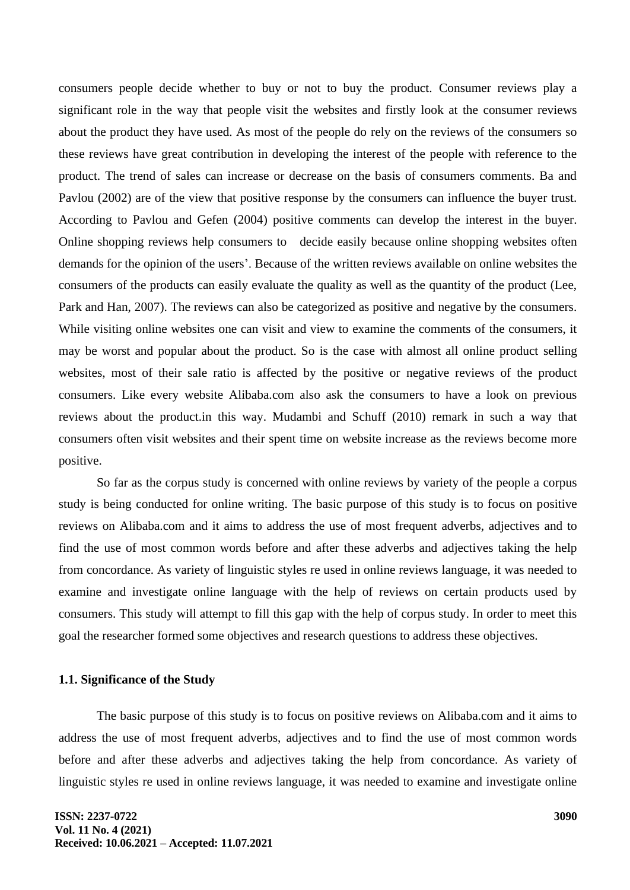consumers people decide whether to buy or not to buy the product. Consumer reviews play a significant role in the way that people visit the websites and firstly look at the consumer reviews about the product they have used. As most of the people do rely on the reviews of the consumers so these reviews have great contribution in developing the interest of the people with reference to the product. The trend of sales can increase or decrease on the basis of consumers comments. Ba and Pavlou (2002) are of the view that positive response by the consumers can influence the buyer trust. According to Pavlou and Gefen (2004) positive comments can develop the interest in the buyer. Online shopping reviews help consumers to decide easily because online shopping websites often demands for the opinion of the users'. Because of the written reviews available on online websites the consumers of the products can easily evaluate the quality as well as the quantity of the product (Lee, Park and Han, 2007). The reviews can also be categorized as positive and negative by the consumers. While visiting online websites one can visit and view to examine the comments of the consumers, it may be worst and popular about the product. So is the case with almost all online product selling websites, most of their sale ratio is affected by the positive or negative reviews of the product consumers. Like every website Alibaba.com also ask the consumers to have a look on previous reviews about the product.in this way. Mudambi and Schuff (2010) remark in such a way that consumers often visit websites and their spent time on website increase as the reviews become more positive.

So far as the corpus study is concerned with online reviews by variety of the people a corpus study is being conducted for online writing. The basic purpose of this study is to focus on positive reviews on Alibaba.com and it aims to address the use of most frequent adverbs, adjectives and to find the use of most common words before and after these adverbs and adjectives taking the help from concordance. As variety of linguistic styles re used in online reviews language, it was needed to examine and investigate online language with the help of reviews on certain products used by consumers. This study will attempt to fill this gap with the help of corpus study. In order to meet this goal the researcher formed some objectives and research questions to address these objectives.

#### **1.1. Significance of the Study**

The basic purpose of this study is to focus on positive reviews on Alibaba.com and it aims to address the use of most frequent adverbs, adjectives and to find the use of most common words before and after these adverbs and adjectives taking the help from concordance. As variety of linguistic styles re used in online reviews language, it was needed to examine and investigate online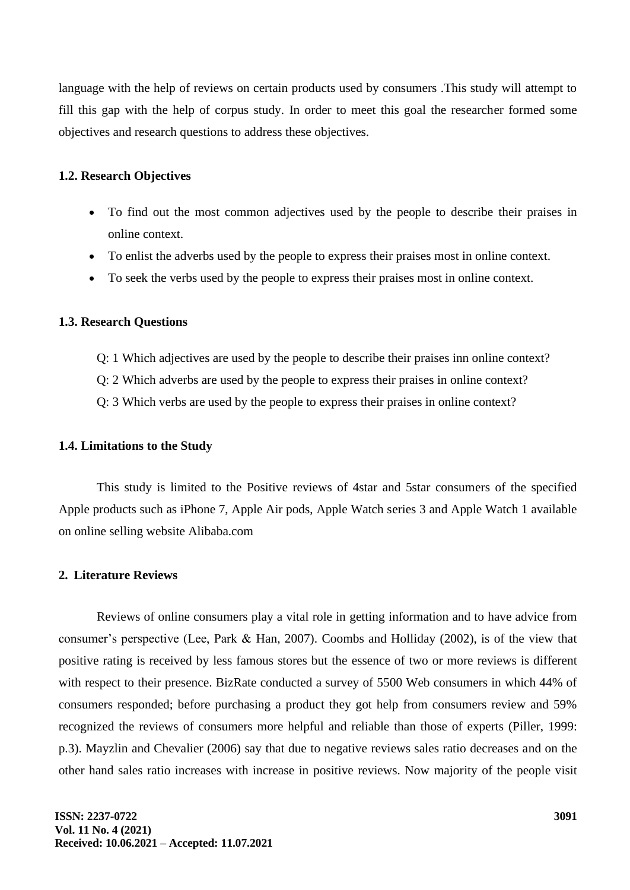language with the help of reviews on certain products used by consumers .This study will attempt to fill this gap with the help of corpus study. In order to meet this goal the researcher formed some objectives and research questions to address these objectives.

#### **1.2. Research Objectives**

- To find out the most common adjectives used by the people to describe their praises in online context.
- To enlist the adverbs used by the people to express their praises most in online context.
- To seek the verbs used by the people to express their praises most in online context.

## **1.3. Research Questions**

- Q: 1 Which adjectives are used by the people to describe their praises inn online context?
- Q: 2 Which adverbs are used by the people to express their praises in online context?
- Q: 3 Which verbs are used by the people to express their praises in online context?

## **1.4. Limitations to the Study**

This study is limited to the Positive reviews of 4star and 5star consumers of the specified Apple products such as iPhone 7, Apple Air pods, Apple Watch series 3 and Apple Watch 1 available on online selling website Alibaba.com

# **2. Literature Reviews**

Reviews of online consumers play a vital role in getting information and to have advice from consumer's perspective (Lee, Park & Han, 2007). Coombs and Holliday (2002), is of the view that positive rating is received by less famous stores but the essence of two or more reviews is different with respect to their presence. BizRate conducted a survey of 5500 Web consumers in which 44% of consumers responded; before purchasing a product they got help from consumers review and 59% recognized the reviews of consumers more helpful and reliable than those of experts (Piller, 1999: p.3). Mayzlin and Chevalier (2006) say that due to negative reviews sales ratio decreases and on the other hand sales ratio increases with increase in positive reviews. Now majority of the people visit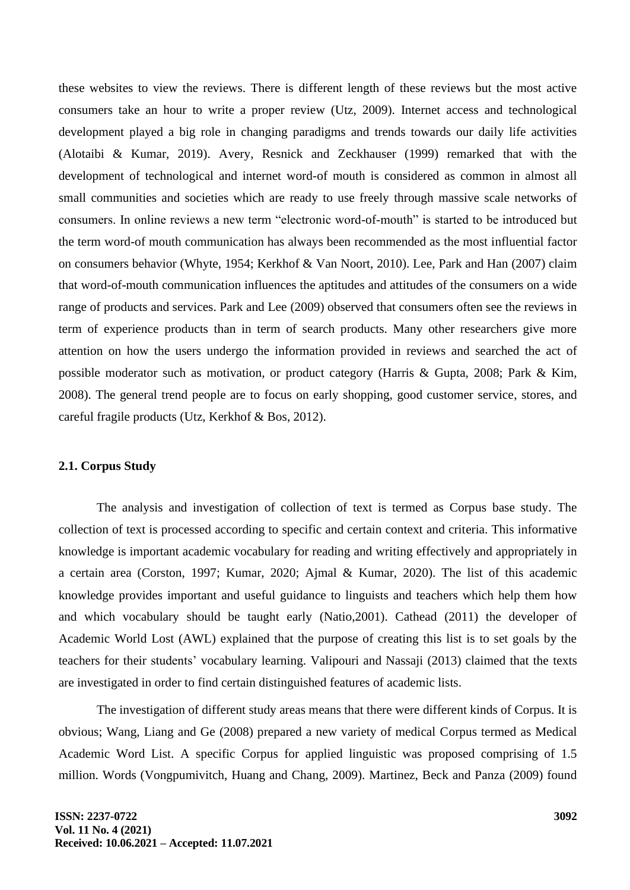these websites to view the reviews. There is different length of these reviews but the most active consumers take an hour to write a proper review (Utz, 2009). Internet access and technological development played a big role in changing paradigms and trends towards our daily life activities (Alotaibi & Kumar, 2019). Avery, Resnick and Zeckhauser (1999) remarked that with the development of technological and internet word-of mouth is considered as common in almost all small communities and societies which are ready to use freely through massive scale networks of consumers. In online reviews a new term "electronic word-of-mouth" is started to be introduced but the term word-of mouth communication has always been recommended as the most influential factor on consumers behavior (Whyte, 1954; Kerkhof & Van Noort, 2010). Lee, Park and Han (2007) claim that word-of-mouth communication influences the aptitudes and attitudes of the consumers on a wide range of products and services. Park and Lee (2009) observed that consumers often see the reviews in term of experience products than in term of search products. Many other researchers give more attention on how the users undergo the information provided in reviews and searched the act of possible moderator such as motivation, or product category (Harris & Gupta, 2008; Park & Kim, 2008). The general trend people are to focus on early shopping, good customer service, stores, and careful fragile products (Utz, Kerkhof & Bos, 2012).

## **2.1. Corpus Study**

The analysis and investigation of collection of text is termed as Corpus base study. The collection of text is processed according to specific and certain context and criteria. This informative knowledge is important academic vocabulary for reading and writing effectively and appropriately in a certain area (Corston, 1997; Kumar, 2020; Ajmal & Kumar, 2020). The list of this academic knowledge provides important and useful guidance to linguists and teachers which help them how and which vocabulary should be taught early (Natio,2001). Cathead (2011) the developer of Academic World Lost (AWL) explained that the purpose of creating this list is to set goals by the teachers for their students' vocabulary learning. Valipouri and Nassaji (2013) claimed that the texts are investigated in order to find certain distinguished features of academic lists.

The investigation of different study areas means that there were different kinds of Corpus. It is obvious; Wang, Liang and Ge (2008) prepared a new variety of medical Corpus termed as Medical Academic Word List. A specific Corpus for applied linguistic was proposed comprising of 1.5 million. Words (Vongpumivitch, Huang and Chang, 2009). Martinez, Beck and Panza (2009) found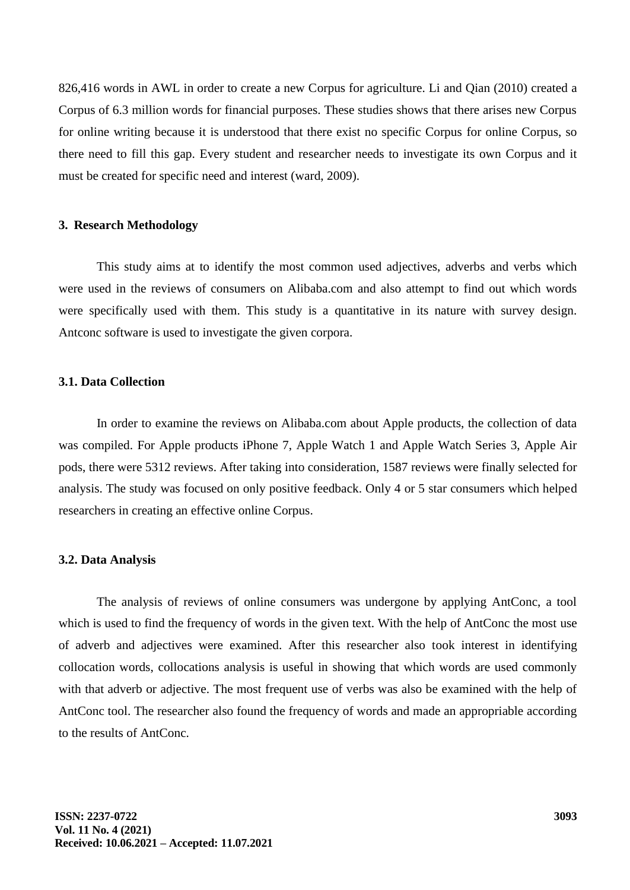826,416 words in AWL in order to create a new Corpus for agriculture. Li and Qian (2010) created a Corpus of 6.3 million words for financial purposes. These studies shows that there arises new Corpus for online writing because it is understood that there exist no specific Corpus for online Corpus, so there need to fill this gap. Every student and researcher needs to investigate its own Corpus and it must be created for specific need and interest (ward, 2009).

#### **3. Research Methodology**

This study aims at to identify the most common used adjectives, adverbs and verbs which were used in the reviews of consumers on Alibaba.com and also attempt to find out which words were specifically used with them. This study is a quantitative in its nature with survey design. Antconc software is used to investigate the given corpora.

## **3.1. Data Collection**

In order to examine the reviews on Alibaba.com about Apple products, the collection of data was compiled. For Apple products iPhone 7, Apple Watch 1 and Apple Watch Series 3, Apple Air pods, there were 5312 reviews. After taking into consideration, 1587 reviews were finally selected for analysis. The study was focused on only positive feedback. Only 4 or 5 star consumers which helped researchers in creating an effective online Corpus.

#### **3.2. Data Analysis**

The analysis of reviews of online consumers was undergone by applying AntConc, a tool which is used to find the frequency of words in the given text. With the help of AntConc the most use of adverb and adjectives were examined. After this researcher also took interest in identifying collocation words, collocations analysis is useful in showing that which words are used commonly with that adverb or adjective. The most frequent use of verbs was also be examined with the help of AntConc tool. The researcher also found the frequency of words and made an appropriable according to the results of AntConc.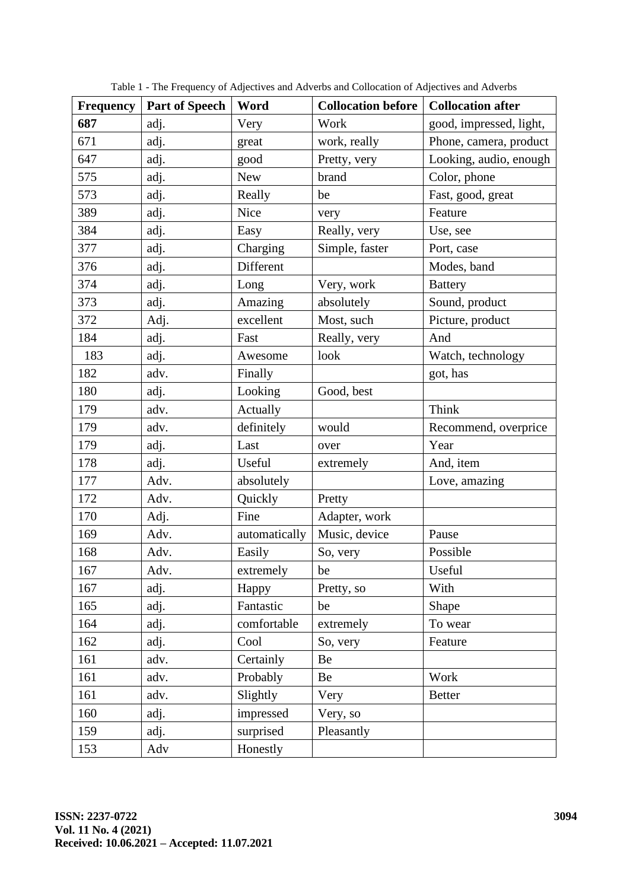| <b>Frequency</b> | <b>Part of Speech</b> | Word          | <b>Collocation before</b> | <b>Collocation after</b> |
|------------------|-----------------------|---------------|---------------------------|--------------------------|
| 687              | adj.                  | Very          | Work                      | good, impressed, light,  |
| 671              | adj.                  | great         | work, really              | Phone, camera, product   |
| 647              | adj.                  | good          | Pretty, very              | Looking, audio, enough   |
| 575              | adj.                  | <b>New</b>    | brand                     | Color, phone             |
| 573              | adj.                  | Really        | be                        | Fast, good, great        |
| 389              | adj.                  | Nice          | very                      | Feature                  |
| 384              | adj.                  | Easy          | Really, very              | Use, see                 |
| 377              | adj.                  | Charging      | Simple, faster            | Port, case               |
| 376              | adj.                  | Different     |                           | Modes, band              |
| 374              | adj.                  | Long          | Very, work                | <b>Battery</b>           |
| 373              | adj.                  | Amazing       | absolutely                | Sound, product           |
| 372              | Adj.                  | excellent     | Most, such                | Picture, product         |
| 184              | adj.                  | Fast          | Really, very              | And                      |
| 183              | adj.                  | Awesome       | look                      | Watch, technology        |
| 182              | adv.                  | Finally       |                           | got, has                 |
| 180              | adj.                  | Looking       | Good, best                |                          |
| 179              | adv.                  | Actually      |                           | Think                    |
| 179              | adv.                  | definitely    | would                     | Recommend, overprice     |
| 179              | adj.                  | Last          | over                      | Year                     |
| 178              | adj.                  | Useful        | extremely                 | And, item                |
| 177              | Adv.                  | absolutely    |                           | Love, amazing            |
| 172              | Adv.                  | Quickly       | Pretty                    |                          |
| 170              | Adj.                  | Fine          | Adapter, work             |                          |
| 169              | Adv.                  | automatically | Music, device             | Pause                    |
| 168              | Adv.                  | Easily        | So, very                  | Possible                 |
| 167              | Adv.                  | extremely     | be                        | Useful                   |
| 167              | adj.                  | Happy         | Pretty, so                | With                     |
| 165              | adj.                  | Fantastic     | be                        | Shape                    |
| 164              | adj.                  | comfortable   | extremely                 | To wear                  |
| 162              | adj.                  | Cool          | So, very                  | Feature                  |
| 161              | adv.                  | Certainly     | Be                        |                          |
| 161              | adv.                  | Probably      | Be                        | Work                     |
| 161              | adv.                  | Slightly      | Very                      | <b>Better</b>            |
| 160              | adj.                  | impressed     | Very, so                  |                          |
| 159              | adj.                  | surprised     | Pleasantly                |                          |
| 153              | Adv                   | Honestly      |                           |                          |

Table 1 - The Frequency of Adjectives and Adverbs and Collocation of Adjectives and Adverbs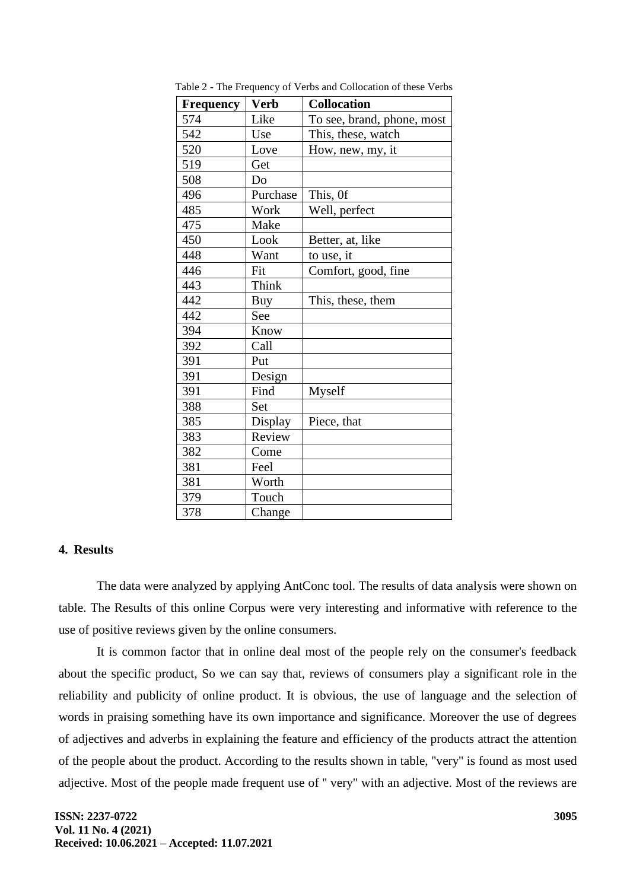| <b>Frequency</b> | <b>Verb</b> | <b>Collocation</b>         |
|------------------|-------------|----------------------------|
| 574              | Like        | To see, brand, phone, most |
| 542              | Use         | This, these, watch         |
| 520              | Love        | How, new, my, it           |
| 519              | Get         |                            |
| 508              | Do          |                            |
| 496              | Purchase    | This, Of                   |
| 485              | Work        | Well, perfect              |
| 475              | Make        |                            |
| 450              | Look        | Better, at, like           |
| 448              | Want        | to use, it                 |
| 446              | Fit         | Comfort, good, fine        |
| 443              | Think       |                            |
| 442              | Buy         | This, these, them          |
| 442              | See         |                            |
| 394              | Know        |                            |
| 392              | Call        |                            |
| 391              | Put         |                            |
| 391              | Design      |                            |
| 391              | Find        | Myself                     |
| 388              | Set         |                            |
| 385              | Display     | Piece, that                |
| 383              | Review      |                            |
| 382              | Come        |                            |
| 381              | Feel        |                            |
| 381              | Worth       |                            |
| 379              | Touch       |                            |
| 378              | Change      |                            |

Table 2 - The Frequency of Verbs and Collocation of these Verbs

# **4. Results**

The data were analyzed by applying AntConc tool. The results of data analysis were shown on table. The Results of this online Corpus were very interesting and informative with reference to the use of positive reviews given by the online consumers.

It is common factor that in online deal most of the people rely on the consumer's feedback about the specific product, So we can say that, reviews of consumers play a significant role in the reliability and publicity of online product. It is obvious, the use of language and the selection of words in praising something have its own importance and significance. Moreover the use of degrees of adjectives and adverbs in explaining the feature and efficiency of the products attract the attention of the people about the product. According to the results shown in table, ''very'' is found as most used adjective. Most of the people made frequent use of '' very'' with an adjective. Most of the reviews are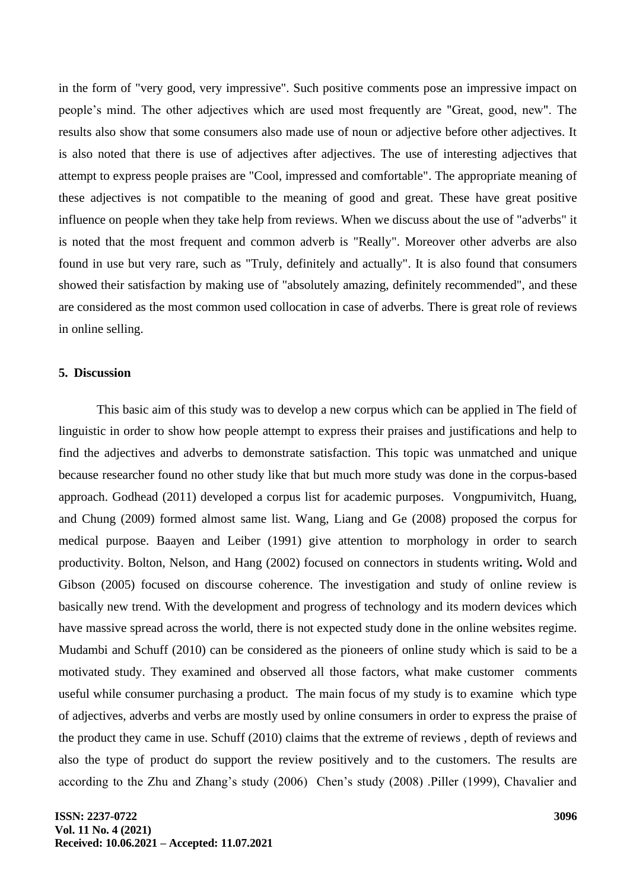in the form of "very good, very impressive". Such positive comments pose an impressive impact on people's mind. The other adjectives which are used most frequently are "Great, good, new". The results also show that some consumers also made use of noun or adjective before other adjectives. It is also noted that there is use of adjectives after adjectives. The use of interesting adjectives that attempt to express people praises are "Cool, impressed and comfortable". The appropriate meaning of these adjectives is not compatible to the meaning of good and great. These have great positive influence on people when they take help from reviews. When we discuss about the use of "adverbs" it is noted that the most frequent and common adverb is "Really". Moreover other adverbs are also found in use but very rare, such as "Truly, definitely and actually". It is also found that consumers showed their satisfaction by making use of "absolutely amazing, definitely recommended", and these are considered as the most common used collocation in case of adverbs. There is great role of reviews in online selling.

#### **5. Discussion**

This basic aim of this study was to develop a new corpus which can be applied in The field of linguistic in order to show how people attempt to express their praises and justifications and help to find the adjectives and adverbs to demonstrate satisfaction. This topic was unmatched and unique because researcher found no other study like that but much more study was done in the corpus-based approach. Godhead (2011) developed a corpus list for academic purposes. Vongpumivitch, Huang, and Chung (2009) formed almost same list. Wang, Liang and Ge (2008) proposed the corpus for medical purpose. Baayen and Leiber (1991) give attention to morphology in order to search productivity. Bolton, Nelson, and Hang (2002) focused on connectors in students writing**.** Wold and Gibson (2005) focused on discourse coherence. The investigation and study of online review is basically new trend. With the development and progress of technology and its modern devices which have massive spread across the world, there is not expected study done in the online websites regime. Mudambi and Schuff (2010) can be considered as the pioneers of online study which is said to be a motivated study. They examined and observed all those factors, what make customer comments useful while consumer purchasing a product. The main focus of my study is to examine which type of adjectives, adverbs and verbs are mostly used by online consumers in order to express the praise of the product they came in use. Schuff (2010) claims that the extreme of reviews , depth of reviews and also the type of product do support the review positively and to the customers. The results are according to the Zhu and Zhang's study (2006) Chen's study (2008) .Piller (1999), Chavalier and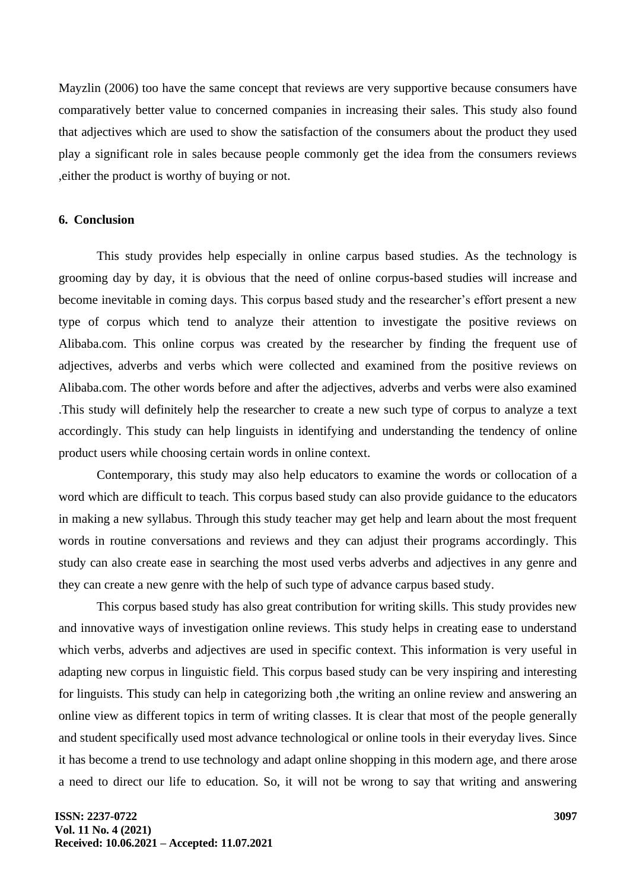Mayzlin (2006) too have the same concept that reviews are very supportive because consumers have comparatively better value to concerned companies in increasing their sales. This study also found that adjectives which are used to show the satisfaction of the consumers about the product they used play a significant role in sales because people commonly get the idea from the consumers reviews ,either the product is worthy of buying or not.

#### **6. Conclusion**

This study provides help especially in online carpus based studies. As the technology is grooming day by day, it is obvious that the need of online corpus-based studies will increase and become inevitable in coming days. This corpus based study and the researcher's effort present a new type of corpus which tend to analyze their attention to investigate the positive reviews on Alibaba.com. This online corpus was created by the researcher by finding the frequent use of adjectives, adverbs and verbs which were collected and examined from the positive reviews on Alibaba.com. The other words before and after the adjectives, adverbs and verbs were also examined .This study will definitely help the researcher to create a new such type of corpus to analyze a text accordingly. This study can help linguists in identifying and understanding the tendency of online product users while choosing certain words in online context.

Contemporary, this study may also help educators to examine the words or collocation of a word which are difficult to teach. This corpus based study can also provide guidance to the educators in making a new syllabus. Through this study teacher may get help and learn about the most frequent words in routine conversations and reviews and they can adjust their programs accordingly. This study can also create ease in searching the most used verbs adverbs and adjectives in any genre and they can create a new genre with the help of such type of advance carpus based study.

This corpus based study has also great contribution for writing skills. This study provides new and innovative ways of investigation online reviews. This study helps in creating ease to understand which verbs, adverbs and adjectives are used in specific context. This information is very useful in adapting new corpus in linguistic field. This corpus based study can be very inspiring and interesting for linguists. This study can help in categorizing both ,the writing an online review and answering an online view as different topics in term of writing classes. It is clear that most of the people generally and student specifically used most advance technological or online tools in their everyday lives. Since it has become a trend to use technology and adapt online shopping in this modern age, and there arose a need to direct our life to education. So, it will not be wrong to say that writing and answering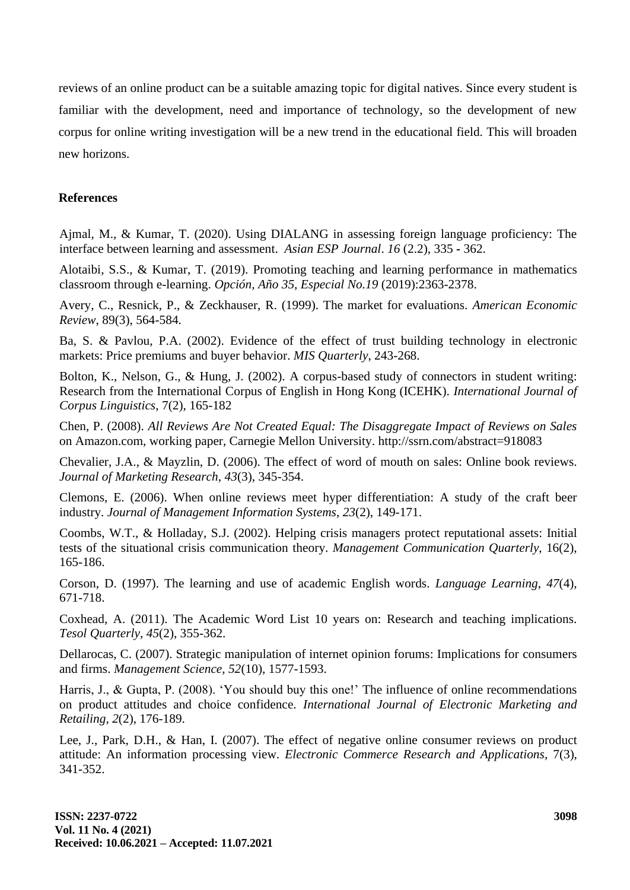reviews of an online product can be a suitable amazing topic for digital natives. Since every student is familiar with the development, need and importance of technology, so the development of new corpus for online writing investigation will be a new trend in the educational field. This will broaden new horizons.

# **References**

Ajmal, M., & Kumar, T. (2020). Using DIALANG in assessing foreign language proficiency: The interface between learning and assessment. *Asian ESP Journal*. *16* (2.2), 335 **-** 362.

Alotaibi, S.S., & Kumar, T. (2019). Promoting teaching and learning performance in mathematics classroom through e-learning. *Opción, Año 35, Especial No.19* (2019):2363-2378.

Avery, C., Resnick, P., & Zeckhauser, R. (1999). The market for evaluations. *American Economic Review*, 89(3), 564-584.

Ba, S. & Pavlou, P.A. (2002). Evidence of the effect of trust building technology in electronic markets: Price premiums and buyer behavior. *MIS Quarterly*, 243-268.

Bolton, K., Nelson, G., & Hung, J. (2002). A corpus-based study of connectors in student writing: Research from the International Corpus of English in Hong Kong (ICEHK). *International Journal of Corpus Linguistics*, 7(2), 165-182

Chen, P. (2008). *All Reviews Are Not Created Equal: The Disaggregate Impact of Reviews on Sales* on Amazon.com, working paper, Carnegie Mellon University. http://ssrn.com/abstract=918083

Chevalier, J.A., & Mayzlin, D. (2006). The effect of word of mouth on sales: Online book reviews. *Journal of Marketing Research*, *43*(3), 345-354.

Clemons, E. (2006). When online reviews meet hyper differentiation: A study of the craft beer industry. *Journal of Management Information Systems*, *23*(2), 149-171.

Coombs, W.T., & Holladay, S.J. (2002). Helping crisis managers protect reputational assets: Initial tests of the situational crisis communication theory. *Management Communication Quarterly*, 16(2), 165-186.

Corson, D. (1997). The learning and use of academic English words. *Language Learning*, *47*(4), 671-718.

Coxhead, A. (2011). The Academic Word List 10 years on: Research and teaching implications. *Tesol Quarterly*, *45*(2), 355-362.

Dellarocas, C. (2007). Strategic manipulation of internet opinion forums: Implications for consumers and firms. *Management Science, 52*(10), 1577-1593.

Harris, J., & Gupta, P. (2008). 'You should buy this one!' The influence of online recommendations on product attitudes and choice confidence. *International Journal of Electronic Marketing and Retailing*, *2*(2), 176-189.

Lee, J., Park, D.H., & Han, I. (2007). The effect of negative online consumer reviews on product attitude: An information processing view. *Electronic Commerce Research and Applications*, 7(3), 341-352.